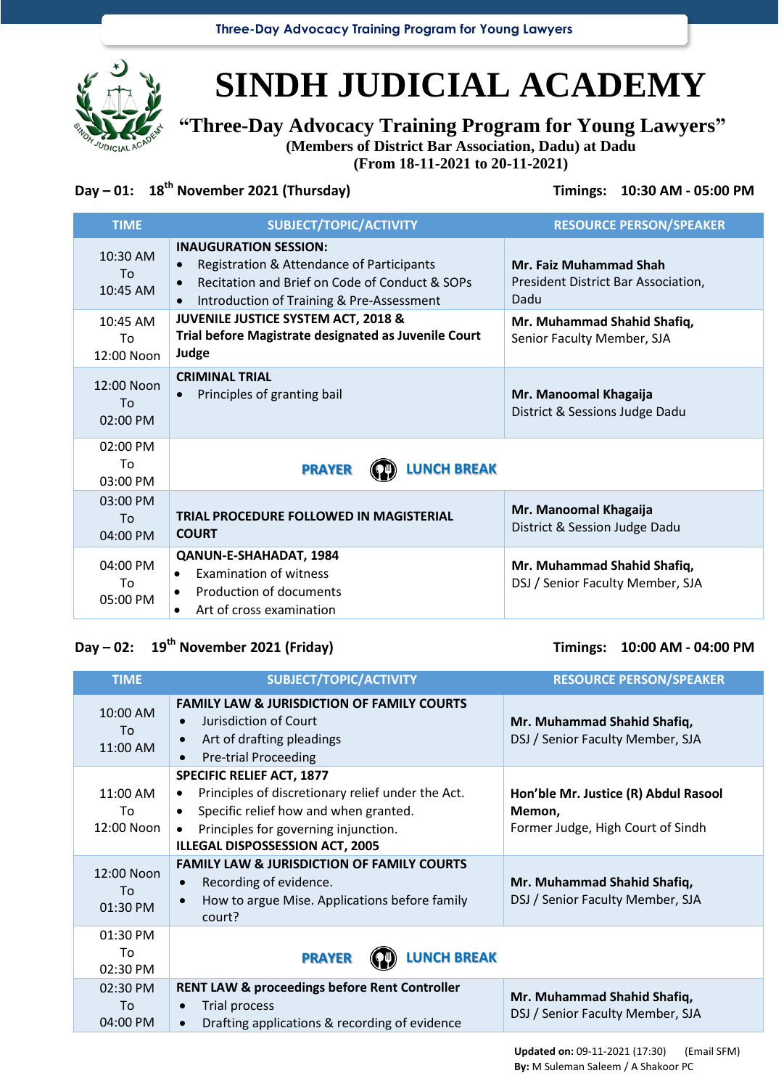**Three-Day Advocacy Training Program for Young Lawyers**



# **SINDH JUDICIAL ACADEMY**

**"Three-Day Advocacy Training Program for Young Lawyers"**

**(Members of District Bar Association, Dadu) at Dadu**

**(From 18-11-2021 to 20-11-2021)**

### **Day – 01: 18 th November 2021 (Thursday) Timings: 10:30 AM - 05:00 PM**

| <b>TIME</b>                      | SUBJECT/TOPIC/ACTIVITY                                                                                                                                                                             | <b>RESOURCE PERSON/SPEAKER</b>                                               |
|----------------------------------|----------------------------------------------------------------------------------------------------------------------------------------------------------------------------------------------------|------------------------------------------------------------------------------|
| $10:30$ AM<br>To<br>$10:45$ AM   | <b>INAUGURATION SESSION:</b><br>Registration & Attendance of Participants<br>$\bullet$<br>Recitation and Brief on Code of Conduct & SOPs<br>Introduction of Training & Pre-Assessment<br>$\bullet$ | <b>Mr. Faiz Muhammad Shah</b><br>President District Bar Association,<br>Dadu |
| $10:45$ AM<br>To<br>$12:00$ Noon | JUVENILE JUSTICE SYSTEM ACT, 2018 &<br>Trial before Magistrate designated as Juvenile Court<br>Judge                                                                                               | Mr. Muhammad Shahid Shafiq,<br>Senior Faculty Member, SJA                    |
| 12:00 Noon<br>To<br>02:00 PM     | <b>CRIMINAL TRIAL</b><br>Principles of granting bail<br>$\bullet$                                                                                                                                  | Mr. Manoomal Khagaija<br>District & Sessions Judge Dadu                      |
| 02:00 PM<br>To<br>03:00 PM       | <b>LUNCH BREAK</b><br><b>PRAYER</b>                                                                                                                                                                |                                                                              |
| 03:00 PM<br>Tο.<br>04:00 PM      | TRIAL PROCEDURE FOLLOWED IN MAGISTERIAL<br><b>COURT</b>                                                                                                                                            | Mr. Manoomal Khagaija<br>District & Session Judge Dadu                       |
| 04:00 PM<br>Tο.<br>05:00 PM      | QANUN-E-SHAHADAT, 1984<br><b>Examination of witness</b><br>$\bullet$<br>Production of documents<br>Art of cross examination<br>$\bullet$                                                           | Mr. Muhammad Shahid Shafiq,<br>DSJ / Senior Faculty Member, SJA              |

## **Day – 02: 19th November 2021 (Friday) Timings: 10:00 AM - 04:00 PM**

| <b>TIME</b>                  | SUBJECT/TOPIC/ACTIVITY                                                                                                                                                                                                              | <b>RESOURCE PERSON/SPEAKER</b>                                                      |
|------------------------------|-------------------------------------------------------------------------------------------------------------------------------------------------------------------------------------------------------------------------------------|-------------------------------------------------------------------------------------|
| 10:00 AM<br>To<br>11:00 AM   | <b>FAMILY LAW &amp; JURISDICTION OF FAMILY COURTS</b><br>Jurisdiction of Court<br>Art of drafting pleadings<br><b>Pre-trial Proceeding</b>                                                                                          | Mr. Muhammad Shahid Shafiq,<br>DSJ / Senior Faculty Member, SJA                     |
| 11:00 AM<br>To<br>12:00 Noon | <b>SPECIFIC RELIEF ACT, 1877</b><br>Principles of discretionary relief under the Act.<br>$\bullet$<br>Specific relief how and when granted.<br>$\bullet$<br>Principles for governing injunction.<br>ILLEGAL DISPOSSESSION ACT, 2005 | Hon'ble Mr. Justice (R) Abdul Rasool<br>Memon,<br>Former Judge, High Court of Sindh |
| 12:00 Noon<br>To<br>01:30 PM | <b>FAMILY LAW &amp; JURISDICTION OF FAMILY COURTS</b><br>Recording of evidence.<br>How to argue Mise. Applications before family<br>court?                                                                                          | Mr. Muhammad Shahid Shafiq,<br>DSJ / Senior Faculty Member, SJA                     |
| 01:30 PM<br>To<br>02:30 PM   | <b>LUNCH BREAK</b><br><b>PRAYER</b>                                                                                                                                                                                                 |                                                                                     |
| 02:30 PM<br>To<br>04:00 PM   | <b>RENT LAW &amp; proceedings before Rent Controller</b><br><b>Trial process</b><br>$\bullet$<br>Drafting applications & recording of evidence<br>$\bullet$                                                                         | Mr. Muhammad Shahid Shafiq,<br>DSJ / Senior Faculty Member, SJA                     |